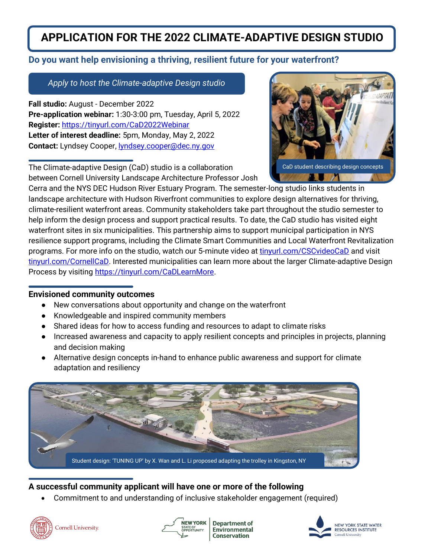# **APPLICATION FOR THE 2022 CLIMATE-ADAPTIVE DESIGN STUDIO**

## **Do you want help envisioning a thriving, resilient future for your waterfront?**

*Apply to host the Climate-adaptive Design studio*

**Fall studio:** August - December 2022 **Pre-application webinar:** 1:30-3:00 pm, Tuesday, April 5, 2022 **Register:** <https://tinyurl.com/CaD2022Webinar> **Letter of interest deadline:** 5pm, Monday, May 2, 2022 Contact: Lyndsey Cooper, **[lyndsey.cooper@dec.ny.gov](mailto:lyndsey.cooper@dec.ny.gov)** 

The Climate-adaptive Design (CaD) studio is a collaboration



between Cornell University Landscape Architecture Professor Josh

Cerra and the NYS DEC Hudson River Estuary Program. The semester-long studio links students in landscape architecture with Hudson Riverfront communities to explore design alternatives for thriving, climate-resilient waterfront areas. Community stakeholders take part throughout the studio semester to help inform the design process and support practical results. To date, the CaD studio has visited eight waterfront sites in six municipalities. This partnership aims to support municipal participation in NYS resilience support programs, including the Climate Smart Communities and Local Waterfront Revitalization programs. For more info on the studio, watch our 5-minute video at [tinyurl.com/CSCvideoCaD](http://tinyurl.com/CSCvideoCAD) and visit [tinyurl.com/CornellCaD.](http://tinyurl.com/CornellCAD) Interested municipalities can learn more about the larger Climate-adaptive Design Process by visiting [https://tinyurl.com/CaDLearnMore.](https://tinyurl.com/CaDLearnMore)

#### **Envisioned community outcomes**

- New conversations about opportunity and change on the waterfront
- Knowledgeable and inspired community members
- Shared ideas for how to access funding and resources to adapt to climate risks
- Increased awareness and capacity to apply resilient concepts and principles in projects, planning and decision making
- Alternative design concepts in-hand to enhance public awareness and support for climate adaptation and resiliency



## **A successful community applicant will have one or more of the following**

• Commitment to and understanding of inclusive stakeholder engagement (required)





**Department of** Environmental **Conservation**